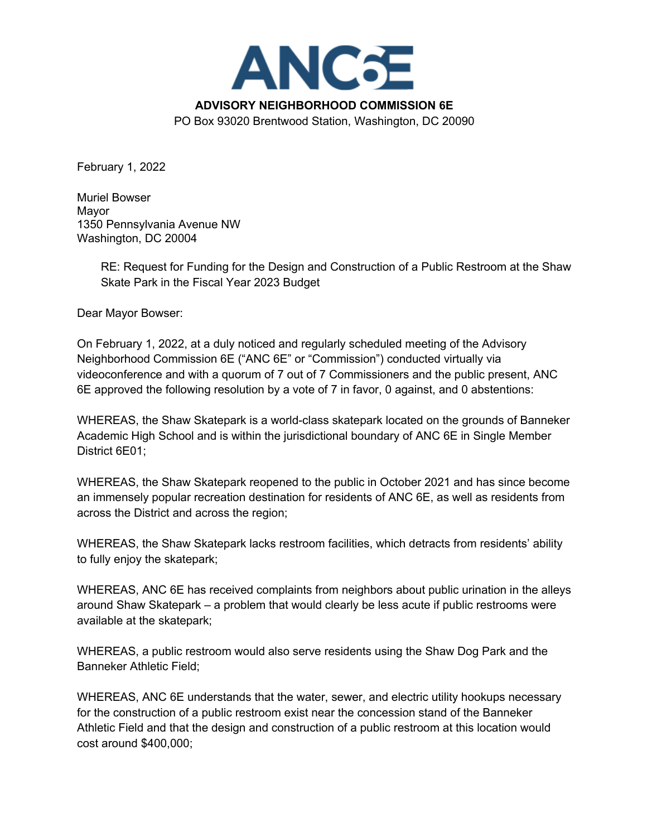

February 1, 2022

Muriel Bowser Mayor 1350 Pennsylvania Avenue NW Washington, DC 20004

> RE: Request for Funding for the Design and Construction of a Public Restroom at the Shaw Skate Park in the Fiscal Year 2023 Budget

Dear Mayor Bowser:

On February 1, 2022, at a duly noticed and regularly scheduled meeting of the Advisory Neighborhood Commission 6E ("ANC 6E" or "Commission") conducted virtually via videoconference and with a quorum of 7 out of 7 Commissioners and the public present, ANC 6E approved the following resolution by a vote of 7 in favor, 0 against, and 0 abstentions:

WHEREAS, the Shaw Skatepark is a world-class skatepark located on the grounds of Banneker Academic High School and is within the jurisdictional boundary of ANC 6E in Single Member District 6E01;

WHEREAS, the Shaw Skatepark reopened to the public in October 2021 and has since become an immensely popular recreation destination for residents of ANC 6E, as well as residents from across the District and across the region;

WHEREAS, the Shaw Skatepark lacks restroom facilities, which detracts from residents' ability to fully enjoy the skatepark;

WHEREAS, ANC 6E has received complaints from neighbors about public urination in the alleys around Shaw Skatepark – a problem that would clearly be less acute if public restrooms were available at the skatepark;

WHEREAS, a public restroom would also serve residents using the Shaw Dog Park and the Banneker Athletic Field;

WHEREAS, ANC 6E understands that the water, sewer, and electric utility hookups necessary for the construction of a public restroom exist near the concession stand of the Banneker Athletic Field and that the design and construction of a public restroom at this location would cost around \$400,000;